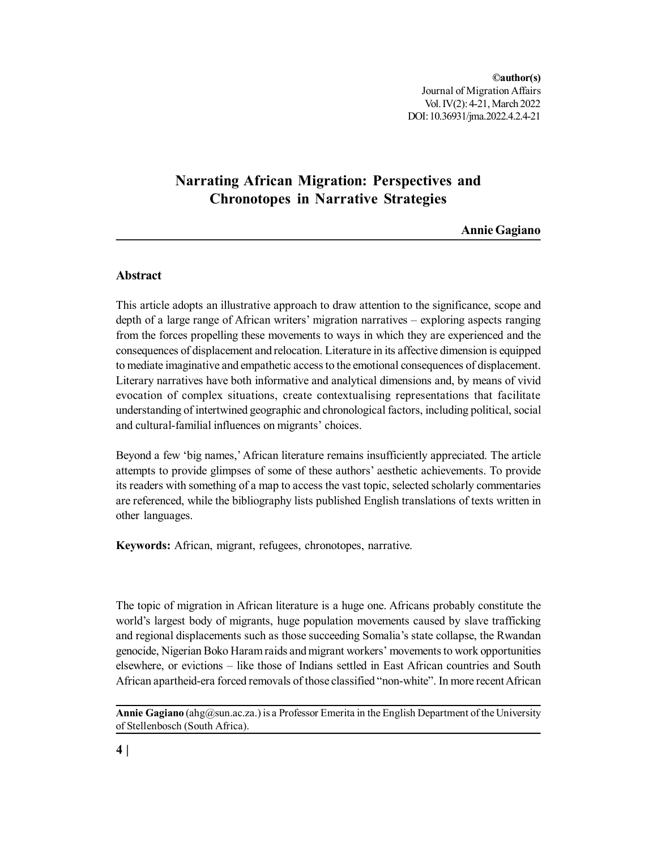**©author(s)** Journal of Migration Affairs Vol. IV(2): 4-21, March 2022 DOI: 10.36931/jma.2022.4.2.4-21

# **Narrating African Migration: Perspectives and Chronotopes in Narrative Strategies**

**Annie Gagiano**

# **Abstract**

This article adopts an illustrative approach to draw attention to the significance, scope and depth of a large range of African writers' migration narratives – exploring aspects ranging from the forces propelling these movements to ways in which they are experienced and the consequences of displacement and relocation. Literature in its affective dimension is equipped to mediate imaginative and empathetic access to the emotional consequences of displacement. Literary narratives have both informative and analytical dimensions and, by means of vivid evocation of complex situations, create contextualising representations that facilitate understanding of intertwined geographic and chronological factors, including political, social and cultural-familial influences on migrants' choices.

Beyond a few 'big names,' African literature remains insufficiently appreciated. The article attempts to provide glimpses of some of these authors' aesthetic achievements. To provide its readers with something of a map to access the vast topic, selected scholarly commentaries are referenced, while the bibliography lists published English translations of texts written in other languages.

**Keywords:** African, migrant, refugees, chronotopes, narrative.

The topic of migration in African literature is a huge one. Africans probably constitute the world's largest body of migrants, huge population movements caused by slave trafficking and regional displacements such as those succeeding Somalia's state collapse, the Rwandan genocide, Nigerian Boko Haram raids and migrant workers' movements to work opportunities elsewhere, or evictions – like those of Indians settled in East African countries and South African apartheid-era forced removals of those classified "non-white". In more recent African

**Annie Gagiano** (ahg@sun.ac.za.) is a Professor Emerita in the English Department of the University of Stellenbosch (South Africa).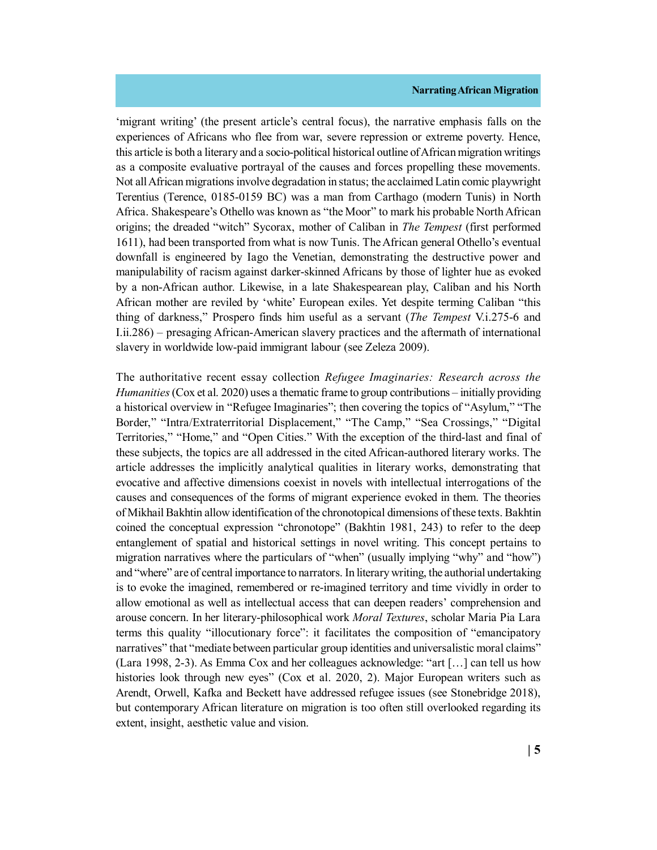'migrant writing' (the present article's central focus), the narrative emphasis falls on the experiences of Africans who flee from war, severe repression or extreme poverty. Hence, this article is both a literary and a socio-political historical outline of African migration writings as a composite evaluative portrayal of the causes and forces propelling these movements. Not all African migrations involve degradation in status; the acclaimed Latin comic playwright Terentius (Terence, 0185-0159 BC) was a man from Carthago (modern Tunis) in North Africa. Shakespeare's Othello was known as "the Moor" to mark his probable North African origins; the dreaded "witch" Sycorax, mother of Caliban in *The Tempest* (first performed 1611), had been transported from what is now Tunis. The African general Othello's eventual downfall is engineered by Iago the Venetian, demonstrating the destructive power and manipulability of racism against darker-skinned Africans by those of lighter hue as evoked by a non-African author. Likewise, in a late Shakespearean play, Caliban and his North African mother are reviled by 'white' European exiles. Yet despite terming Caliban "this thing of darkness," Prospero finds him useful as a servant (*The Tempest* V.i.275-6 and I.ii.286) – presaging African-American slavery practices and the aftermath of international slavery in worldwide low-paid immigrant labour (see Zeleza 2009).

The authoritative recent essay collection *Refugee Imaginaries: Research across the Humanities* (Cox et al. 2020) uses a thematic frame to group contributions – initially providing a historical overview in "Refugee Imaginaries"; then covering the topics of "Asylum," "The Border," "Intra/Extraterritorial Displacement," "The Camp," "Sea Crossings," "Digital Territories," "Home," and "Open Cities." With the exception of the third-last and final of these subjects, the topics are all addressed in the cited African-authored literary works. The article addresses the implicitly analytical qualities in literary works, demonstrating that evocative and affective dimensions coexist in novels with intellectual interrogations of the causes and consequences of the forms of migrant experience evoked in them. The theories of Mikhail Bakhtin allow identification of the chronotopical dimensions of these texts. Bakhtin coined the conceptual expression "chronotope" (Bakhtin 1981, 243) to refer to the deep entanglement of spatial and historical settings in novel writing. This concept pertains to migration narratives where the particulars of "when" (usually implying "why" and "how") and "where" are of central importance to narrators. In literary writing, the authorial undertaking is to evoke the imagined, remembered or re-imagined territory and time vividly in order to allow emotional as well as intellectual access that can deepen readers' comprehension and arouse concern. In her literary-philosophical work *Moral Textures*, scholar Maria Pia Lara terms this quality "illocutionary force": it facilitates the composition of "emancipatory narratives" that "mediate between particular group identities and universalistic moral claims" (Lara 1998, 2-3). As Emma Cox and her colleagues acknowledge: "art […] can tell us how histories look through new eyes" (Cox et al. 2020, 2). Major European writers such as Arendt, Orwell, Kafka and Beckett have addressed refugee issues (see Stonebridge 2018), but contemporary African literature on migration is too often still overlooked regarding its extent, insight, aesthetic value and vision.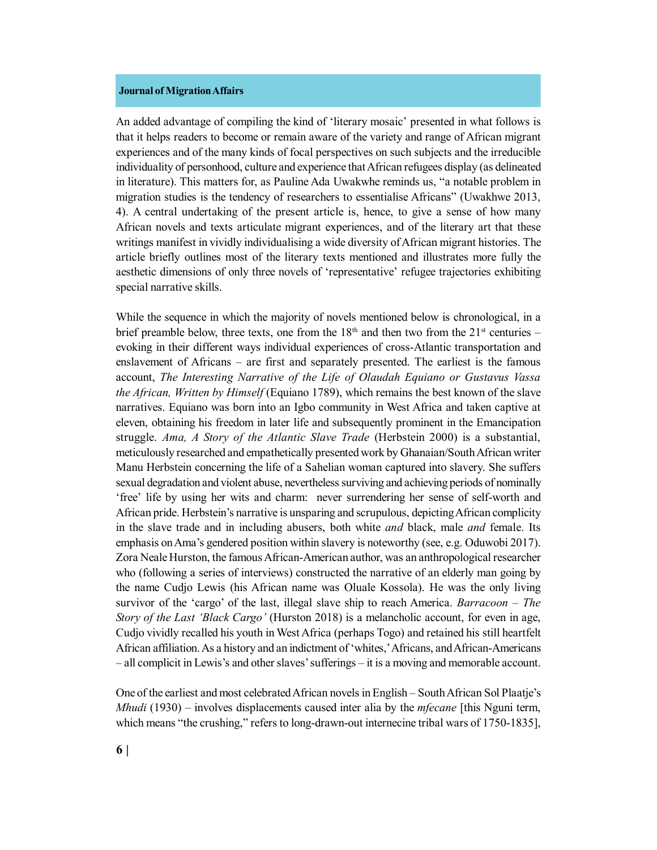An added advantage of compiling the kind of 'literary mosaic' presented in what follows is that it helps readers to become or remain aware of the variety and range of African migrant experiences and of the many kinds of focal perspectives on such subjects and the irreducible individuality of personhood, culture and experience that African refugees display (as delineated in literature). This matters for, as Pauline Ada Uwakwhe reminds us, "a notable problem in migration studies is the tendency of researchers to essentialise Africans" (Uwakhwe 2013, 4). A central undertaking of the present article is, hence, to give a sense of how many African novels and texts articulate migrant experiences, and of the literary art that these writings manifest in vividly individualising a wide diversity of African migrant histories. The article briefly outlines most of the literary texts mentioned and illustrates more fully the aesthetic dimensions of only three novels of 'representative' refugee trajectories exhibiting special narrative skills.

While the sequence in which the majority of novels mentioned below is chronological, in a brief preamble below, three texts, one from the  $18<sup>th</sup>$  and then two from the  $21<sup>st</sup>$  centuries – evoking in their different ways individual experiences of cross-Atlantic transportation and enslavement of Africans – are first and separately presented. The earliest is the famous account, *The Interesting Narrative of the Life of Olaudah Equiano or Gustavus Vassa the African, Written by Himself* (Equiano 1789), which remains the best known of the slave narratives. Equiano was born into an Igbo community in West Africa and taken captive at eleven, obtaining his freedom in later life and subsequently prominent in the Emancipation struggle. *Ama, A Story of the Atlantic Slave Trade* (Herbstein 2000) is a substantial, meticulously researched and empathetically presented work by Ghanaian/South African writer Manu Herbstein concerning the life of a Sahelian woman captured into slavery. She suffers sexual degradation and violent abuse, nevertheless surviving and achieving periods of nominally 'free' life by using her wits and charm: never surrendering her sense of self-worth and African pride. Herbstein's narrative is unsparing and scrupulous, depicting African complicity in the slave trade and in including abusers, both white *and* black, male *and* female. Its emphasis on Ama's gendered position within slavery is noteworthy (see, e.g. Oduwobi 2017). Zora Neale Hurston, the famous African-American author, was an anthropological researcher who (following a series of interviews) constructed the narrative of an elderly man going by the name Cudjo Lewis (his African name was Oluale Kossola). He was the only living survivor of the 'cargo' of the last, illegal slave ship to reach America. *Barracoon – The Story of the Last 'Black Cargo'* (Hurston 2018) is a melancholic account, for even in age, Cudjo vividly recalled his youth in West Africa (perhaps Togo) and retained his still heartfelt African affiliation. As a history and an indictment of 'whites,' Africans, and African-Americans – all complicit in Lewis's and other slaves' sufferings – it is a moving and memorable account.

One of the earliest and most celebrated African novels in English – South African Sol Plaatje's *Mhudi* (1930) – involves displacements caused inter alia by the *mfecane* [this Nguni term, which means "the crushing," refers to long-drawn-out internecine tribal wars of 1750-1835],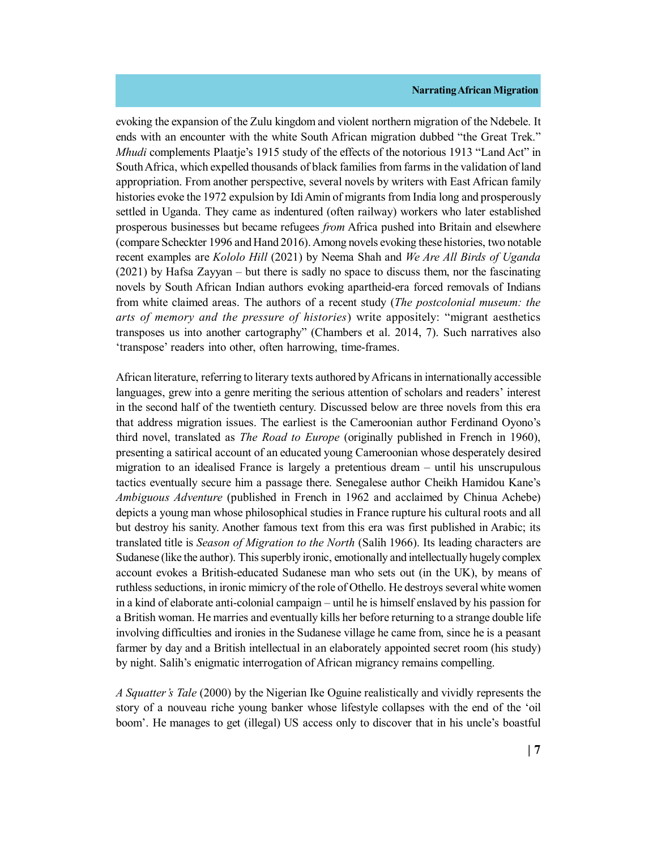evoking the expansion of the Zulu kingdom and violent northern migration of the Ndebele. It ends with an encounter with the white South African migration dubbed "the Great Trek." *Mhudi* complements Plaatje's 1915 study of the effects of the notorious 1913 "Land Act" in South Africa, which expelled thousands of black families from farms in the validation of land appropriation. From another perspective, several novels by writers with East African family histories evoke the 1972 expulsion by Idi Amin of migrants from India long and prosperously settled in Uganda. They came as indentured (often railway) workers who later established prosperous businesses but became refugees *from* Africa pushed into Britain and elsewhere (compare Scheckter 1996 and Hand 2016). Among novels evoking these histories, two notable recent examples are *Kololo Hill* (2021) by Neema Shah and *We Are All Birds of Uganda* (2021) by Hafsa Zayyan – but there is sadly no space to discuss them, nor the fascinating novels by South African Indian authors evoking apartheid-era forced removals of Indians from white claimed areas. The authors of a recent study (*The postcolonial museum: the arts of memory and the pressure of histories*) write appositely: "migrant aesthetics transposes us into another cartography" (Chambers et al. 2014, 7). Such narratives also 'transpose' readers into other, often harrowing, time-frames.

African literature, referring to literary texts authored by Africans in internationally accessible languages, grew into a genre meriting the serious attention of scholars and readers' interest in the second half of the twentieth century. Discussed below are three novels from this era that address migration issues. The earliest is the Cameroonian author Ferdinand Oyono's third novel, translated as *The Road to Europe* (originally published in French in 1960), presenting a satirical account of an educated young Cameroonian whose desperately desired migration to an idealised France is largely a pretentious dream – until his unscrupulous tactics eventually secure him a passage there. Senegalese author Cheikh Hamidou Kane's *Ambiguous Adventure* (published in French in 1962 and acclaimed by Chinua Achebe) depicts a young man whose philosophical studies in France rupture his cultural roots and all but destroy his sanity. Another famous text from this era was first published in Arabic; its translated title is *Season of Migration to the North* (Salih 1966). Its leading characters are Sudanese (like the author). This superbly ironic, emotionally and intellectually hugely complex account evokes a British-educated Sudanese man who sets out (in the UK), by means of ruthless seductions, in ironic mimicry of the role of Othello. He destroys several white women in a kind of elaborate anti-colonial campaign – until he is himself enslaved by his passion for a British woman. He marries and eventually kills her before returning to a strange double life involving difficulties and ironies in the Sudanese village he came from, since he is a peasant farmer by day and a British intellectual in an elaborately appointed secret room (his study) by night. Salih's enigmatic interrogation of African migrancy remains compelling.

*A Squatter's Tale* (2000) by the Nigerian Ike Oguine realistically and vividly represents the story of a nouveau riche young banker whose lifestyle collapses with the end of the 'oil boom'. He manages to get (illegal) US access only to discover that in his uncle's boastful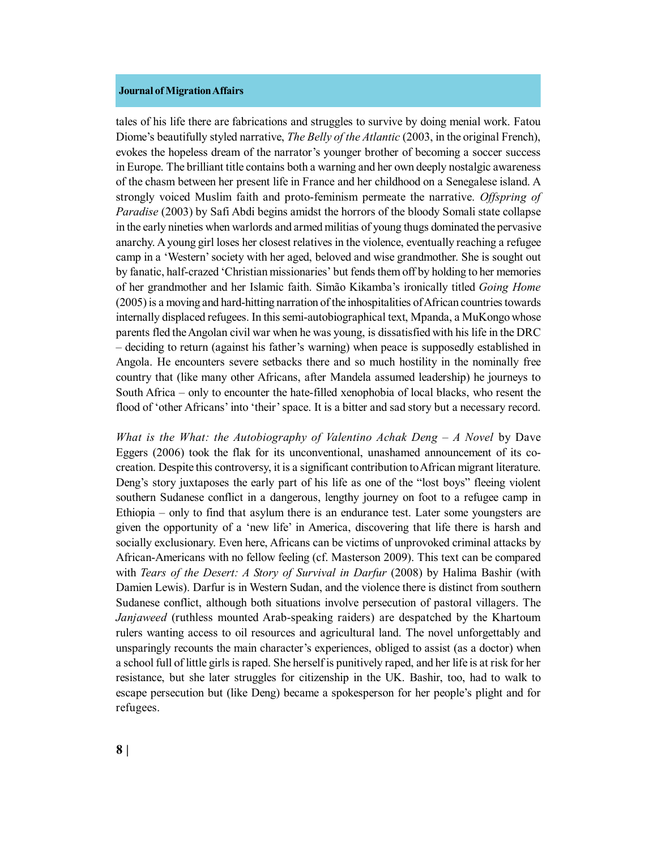tales of his life there are fabrications and struggles to survive by doing menial work. Fatou Diome's beautifully styled narrative, *The Belly of the Atlantic* (2003, in the original French), evokes the hopeless dream of the narrator's younger brother of becoming a soccer success in Europe. The brilliant title contains both a warning and her own deeply nostalgic awareness of the chasm between her present life in France and her childhood on a Senegalese island. A strongly voiced Muslim faith and proto-feminism permeate the narrative. *Offspring of Paradise* (2003) by Safi Abdi begins amidst the horrors of the bloody Somali state collapse in the early nineties when warlords and armed militias of young thugs dominated the pervasive anarchy. A young girl loses her closest relatives in the violence, eventually reaching a refugee camp in a 'Western' society with her aged, beloved and wise grandmother. She is sought out by fanatic, half-crazed 'Christian missionaries' but fends them off by holding to her memories of her grandmother and her Islamic faith. Simão Kikamba's ironically titled *Going Home* (2005) is a moving and hard-hitting narration of the inhospitalities of African countries towards internally displaced refugees. In this semi-autobiographical text, Mpanda, a MuKongo whose parents fled the Angolan civil war when he was young, is dissatisfied with his life in the DRC – deciding to return (against his father's warning) when peace is supposedly established in Angola. He encounters severe setbacks there and so much hostility in the nominally free country that (like many other Africans, after Mandela assumed leadership) he journeys to South Africa – only to encounter the hate-filled xenophobia of local blacks, who resent the flood of 'other Africans' into 'their' space. It is a bitter and sad story but a necessary record.

*What is the What: the Autobiography of Valentino Achak Deng – A Novel by Dave* Eggers (2006) took the flak for its unconventional, unashamed announcement of its cocreation. Despite this controversy, it is a significant contribution to African migrant literature. Deng's story juxtaposes the early part of his life as one of the "lost boys" fleeing violent southern Sudanese conflict in a dangerous, lengthy journey on foot to a refugee camp in Ethiopia – only to find that asylum there is an endurance test. Later some youngsters are given the opportunity of a 'new life' in America, discovering that life there is harsh and socially exclusionary. Even here, Africans can be victims of unprovoked criminal attacks by African-Americans with no fellow feeling (cf. Masterson 2009). This text can be compared with *Tears of the Desert: A Story of Survival in Darfur* (2008) by Halima Bashir (with Damien Lewis). Darfur is in Western Sudan, and the violence there is distinct from southern Sudanese conflict, although both situations involve persecution of pastoral villagers. The *Janjaweed* (ruthless mounted Arab-speaking raiders) are despatched by the Khartoum rulers wanting access to oil resources and agricultural land. The novel unforgettably and unsparingly recounts the main character's experiences, obliged to assist (as a doctor) when a school full of little girls is raped. She herself is punitively raped, and her life is at risk for her resistance, but she later struggles for citizenship in the UK. Bashir, too, had to walk to escape persecution but (like Deng) became a spokesperson for her people's plight and for refugees.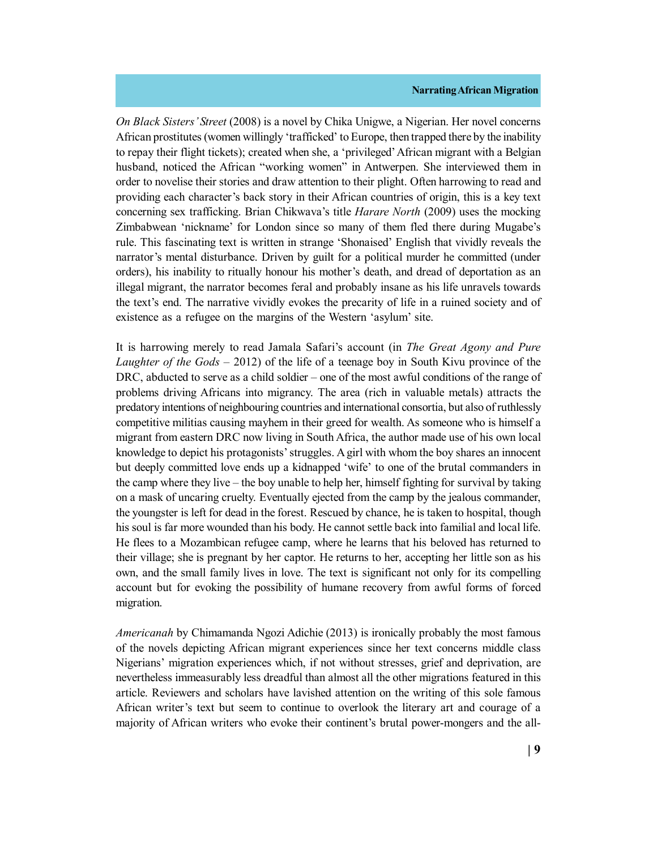*On Black Sisters' Street* (2008) is a novel by Chika Unigwe, a Nigerian. Her novel concerns African prostitutes (women willingly 'trafficked' to Europe, then trapped there by the inability to repay their flight tickets); created when she, a 'privileged' African migrant with a Belgian husband, noticed the African "working women" in Antwerpen. She interviewed them in order to novelise their stories and draw attention to their plight. Often harrowing to read and providing each character's back story in their African countries of origin, this is a key text concerning sex trafficking. Brian Chikwava's title *Harare North* (2009) uses the mocking Zimbabwean 'nickname' for London since so many of them fled there during Mugabe's rule. This fascinating text is written in strange 'Shonaised' English that vividly reveals the narrator's mental disturbance. Driven by guilt for a political murder he committed (under orders), his inability to ritually honour his mother's death, and dread of deportation as an illegal migrant, the narrator becomes feral and probably insane as his life unravels towards the text's end. The narrative vividly evokes the precarity of life in a ruined society and of existence as a refugee on the margins of the Western 'asylum' site.

It is harrowing merely to read Jamala Safari's account (in *The Great Agony and Pure Laughter of the Gods* – 2012) of the life of a teenage boy in South Kivu province of the DRC, abducted to serve as a child soldier – one of the most awful conditions of the range of problems driving Africans into migrancy. The area (rich in valuable metals) attracts the predatory intentions of neighbouring countries and international consortia, but also of ruthlessly competitive militias causing mayhem in their greed for wealth. As someone who is himself a migrant from eastern DRC now living in South Africa, the author made use of his own local knowledge to depict his protagonists' struggles. A girl with whom the boy shares an innocent but deeply committed love ends up a kidnapped 'wife' to one of the brutal commanders in the camp where they live – the boy unable to help her, himself fighting for survival by taking on a mask of uncaring cruelty. Eventually ejected from the camp by the jealous commander, the youngster is left for dead in the forest. Rescued by chance, he is taken to hospital, though his soul is far more wounded than his body. He cannot settle back into familial and local life. He flees to a Mozambican refugee camp, where he learns that his beloved has returned to their village; she is pregnant by her captor. He returns to her, accepting her little son as his own, and the small family lives in love. The text is significant not only for its compelling account but for evoking the possibility of humane recovery from awful forms of forced migration.

*Americanah* by Chimamanda Ngozi Adichie (2013) is ironically probably the most famous of the novels depicting African migrant experiences since her text concerns middle class Nigerians' migration experiences which, if not without stresses, grief and deprivation, are nevertheless immeasurably less dreadful than almost all the other migrations featured in this article. Reviewers and scholars have lavished attention on the writing of this sole famous African writer's text but seem to continue to overlook the literary art and courage of a majority of African writers who evoke their continent's brutal power-mongers and the all-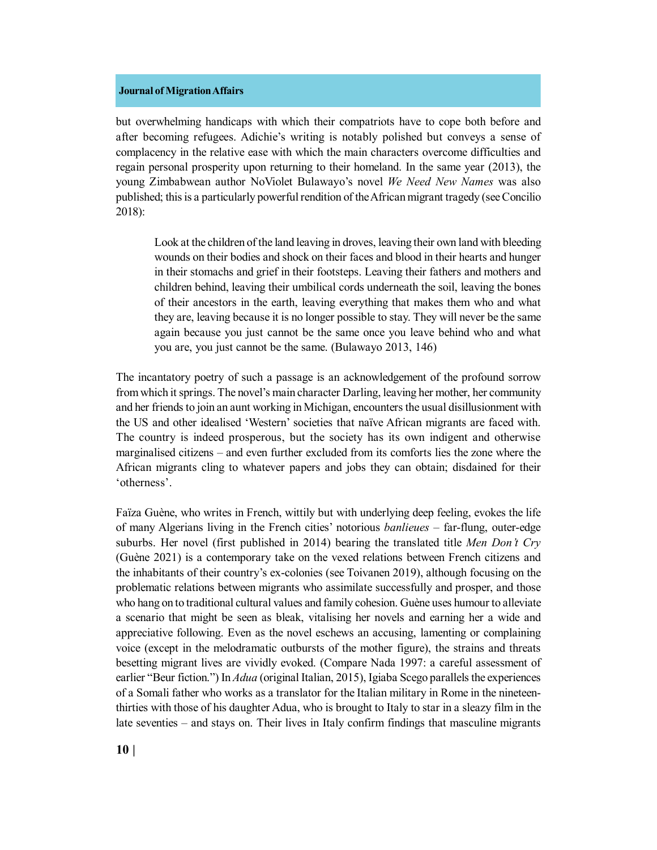but overwhelming handicaps with which their compatriots have to cope both before and after becoming refugees. Adichie's writing is notably polished but conveys a sense of complacency in the relative ease with which the main characters overcome difficulties and regain personal prosperity upon returning to their homeland. In the same year (2013), the young Zimbabwean author NoViolet Bulawayo's novel *We Need New Names* was also published; this is a particularly powerful rendition of the African migrant tragedy (see Concilio 2018):

Look at the children of the land leaving in droves, leaving their own land with bleeding wounds on their bodies and shock on their faces and blood in their hearts and hunger in their stomachs and grief in their footsteps. Leaving their fathers and mothers and children behind, leaving their umbilical cords underneath the soil, leaving the bones of their ancestors in the earth, leaving everything that makes them who and what they are, leaving because it is no longer possible to stay. They will never be the same again because you just cannot be the same once you leave behind who and what you are, you just cannot be the same. (Bulawayo 2013, 146)

The incantatory poetry of such a passage is an acknowledgement of the profound sorrow from which it springs. The novel's main character Darling, leaving her mother, her community and her friends to join an aunt working in Michigan, encounters the usual disillusionment with the US and other idealised 'Western' societies that naïve African migrants are faced with. The country is indeed prosperous, but the society has its own indigent and otherwise marginalised citizens – and even further excluded from its comforts lies the zone where the African migrants cling to whatever papers and jobs they can obtain; disdained for their 'otherness'.

Faïza Guène, who writes in French, wittily but with underlying deep feeling, evokes the life of many Algerians living in the French cities' notorious *banlieues* – far-flung, outer-edge suburbs. Her novel (first published in 2014) bearing the translated title *Men Don't Cry* (Guène 2021) is a contemporary take on the vexed relations between French citizens and the inhabitants of their country's ex-colonies (see Toivanen 2019), although focusing on the problematic relations between migrants who assimilate successfully and prosper, and those who hang on to traditional cultural values and family cohesion. Guène uses humour to alleviate a scenario that might be seen as bleak, vitalising her novels and earning her a wide and appreciative following. Even as the novel eschews an accusing, lamenting or complaining voice (except in the melodramatic outbursts of the mother figure), the strains and threats besetting migrant lives are vividly evoked. (Compare Nada 1997: a careful assessment of earlier "Beur fiction.") In *Adua* (original Italian, 2015), Igiaba Scego parallels the experiences of a Somali father who works as a translator for the Italian military in Rome in the nineteenthirties with those of his daughter Adua, who is brought to Italy to star in a sleazy film in the late seventies – and stays on. Their lives in Italy confirm findings that masculine migrants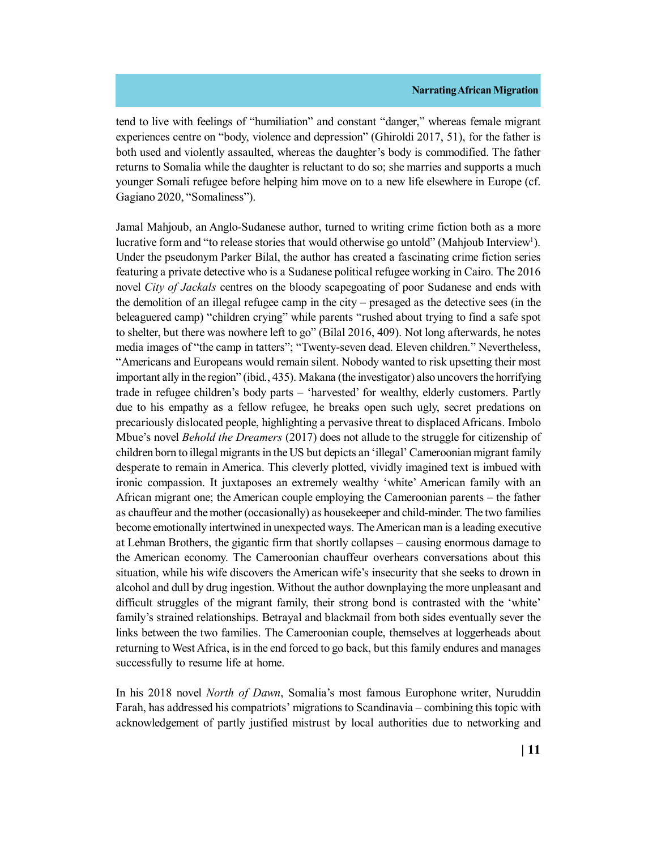tend to live with feelings of "humiliation" and constant "danger," whereas female migrant experiences centre on "body, violence and depression" (Ghiroldi 2017, 51), for the father is both used and violently assaulted, whereas the daughter's body is commodified. The father returns to Somalia while the daughter is reluctant to do so; she marries and supports a much younger Somali refugee before helping him move on to a new life elsewhere in Europe (cf. Gagiano 2020, "Somaliness").

Jamal Mahjoub, an Anglo-Sudanese author, turned to writing crime fiction both as a more lucrative form and "to release stories that would otherwise go untold" (Mahjoub Interview<sup>1</sup>). Under the pseudonym Parker Bilal, the author has created a fascinating crime fiction series featuring a private detective who is a Sudanese political refugee working in Cairo. The 2016 novel *City of Jackals* centres on the bloody scapegoating of poor Sudanese and ends with the demolition of an illegal refugee camp in the city – presaged as the detective sees (in the beleaguered camp) "children crying" while parents "rushed about trying to find a safe spot to shelter, but there was nowhere left to go" (Bilal 2016, 409). Not long afterwards, he notes media images of "the camp in tatters"; "Twenty-seven dead. Eleven children." Nevertheless, "Americans and Europeans would remain silent. Nobody wanted to risk upsetting their most important ally in the region" (ibid., 435). Makana (the investigator) also uncovers the horrifying trade in refugee children's body parts – 'harvested' for wealthy, elderly customers. Partly due to his empathy as a fellow refugee, he breaks open such ugly, secret predations on precariously dislocated people, highlighting a pervasive threat to displaced Africans. Imbolo Mbue's novel *Behold the Dreamers* (2017) does not allude to the struggle for citizenship of children born to illegal migrants in the US but depicts an 'illegal' Cameroonian migrant family desperate to remain in America. This cleverly plotted, vividly imagined text is imbued with ironic compassion. It juxtaposes an extremely wealthy 'white' American family with an African migrant one; the American couple employing the Cameroonian parents – the father as chauffeur and the mother (occasionally) as housekeeper and child-minder. The two families become emotionally intertwined in unexpected ways. The American man is a leading executive at Lehman Brothers, the gigantic firm that shortly collapses – causing enormous damage to the American economy. The Cameroonian chauffeur overhears conversations about this situation, while his wife discovers the American wife's insecurity that she seeks to drown in alcohol and dull by drug ingestion. Without the author downplaying the more unpleasant and difficult struggles of the migrant family, their strong bond is contrasted with the 'white' family's strained relationships. Betrayal and blackmail from both sides eventually sever the links between the two families. The Cameroonian couple, themselves at loggerheads about returning to West Africa, is in the end forced to go back, but this family endures and manages successfully to resume life at home.

In his 2018 novel *North of Dawn*, Somalia's most famous Europhone writer, Nuruddin Farah, has addressed his compatriots' migrations to Scandinavia – combining this topic with acknowledgement of partly justified mistrust by local authorities due to networking and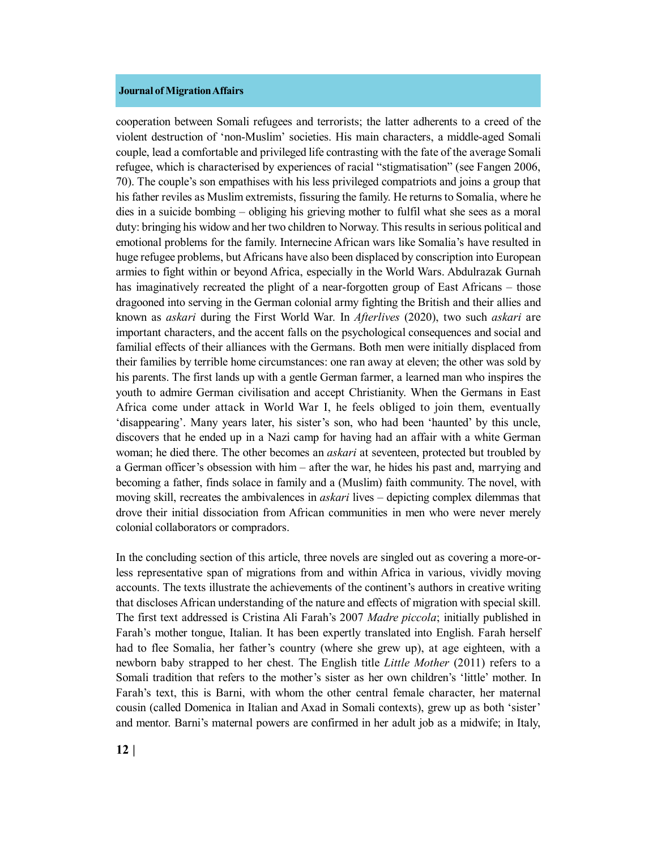cooperation between Somali refugees and terrorists; the latter adherents to a creed of the violent destruction of 'non-Muslim' societies. His main characters, a middle-aged Somali couple, lead a comfortable and privileged life contrasting with the fate of the average Somali refugee, which is characterised by experiences of racial "stigmatisation" (see Fangen 2006, 70). The couple's son empathises with his less privileged compatriots and joins a group that his father reviles as Muslim extremists, fissuring the family. He returns to Somalia, where he dies in a suicide bombing – obliging his grieving mother to fulfil what she sees as a moral duty: bringing his widow and her two children to Norway. This results in serious political and emotional problems for the family. Internecine African wars like Somalia's have resulted in huge refugee problems, but Africans have also been displaced by conscription into European armies to fight within or beyond Africa, especially in the World Wars. Abdulrazak Gurnah has imaginatively recreated the plight of a near-forgotten group of East Africans – those dragooned into serving in the German colonial army fighting the British and their allies and known as *askari* during the First World War. In *Afterlives* (2020), two such *askari* are important characters, and the accent falls on the psychological consequences and social and familial effects of their alliances with the Germans. Both men were initially displaced from their families by terrible home circumstances: one ran away at eleven; the other was sold by his parents. The first lands up with a gentle German farmer, a learned man who inspires the youth to admire German civilisation and accept Christianity. When the Germans in East Africa come under attack in World War I, he feels obliged to join them, eventually 'disappearing'. Many years later, his sister's son, who had been 'haunted' by this uncle, discovers that he ended up in a Nazi camp for having had an affair with a white German woman; he died there. The other becomes an *askari* at seventeen, protected but troubled by a German officer's obsession with him – after the war, he hides his past and, marrying and becoming a father, finds solace in family and a (Muslim) faith community. The novel, with moving skill, recreates the ambivalences in *askari* lives – depicting complex dilemmas that drove their initial dissociation from African communities in men who were never merely colonial collaborators or compradors.

In the concluding section of this article, three novels are singled out as covering a more-orless representative span of migrations from and within Africa in various, vividly moving accounts. The texts illustrate the achievements of the continent's authors in creative writing that discloses African understanding of the nature and effects of migration with special skill. The first text addressed is Cristina Ali Farah's 2007 *Madre piccola*; initially published in Farah's mother tongue, Italian. It has been expertly translated into English. Farah herself had to flee Somalia, her father's country (where she grew up), at age eighteen, with a newborn baby strapped to her chest. The English title *Little Mother* (2011) refers to a Somali tradition that refers to the mother's sister as her own children's 'little' mother. In Farah's text, this is Barni, with whom the other central female character, her maternal cousin (called Domenica in Italian and Axad in Somali contexts), grew up as both 'sister' and mentor. Barni's maternal powers are confirmed in her adult job as a midwife; in Italy,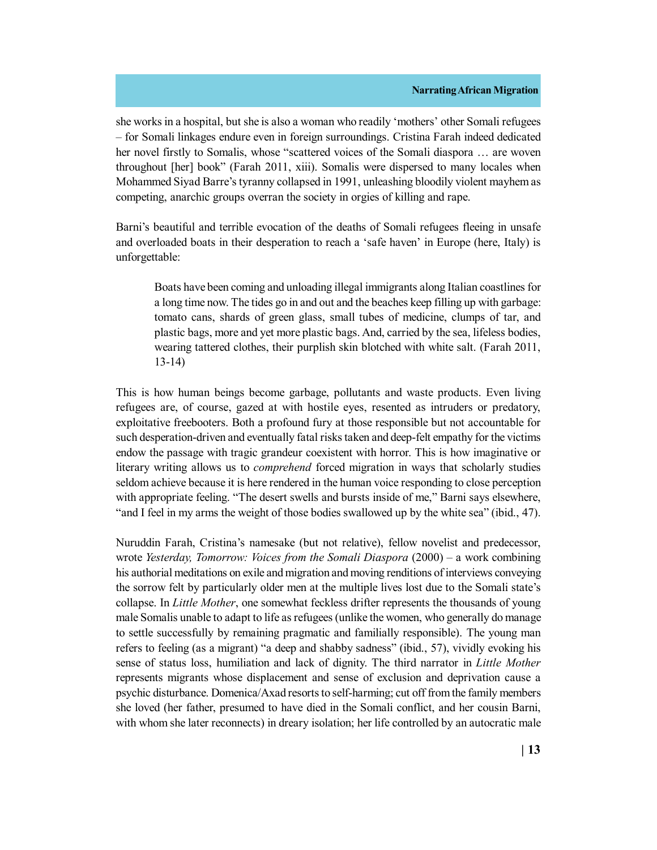she works in a hospital, but she is also a woman who readily 'mothers' other Somali refugees – for Somali linkages endure even in foreign surroundings. Cristina Farah indeed dedicated her novel firstly to Somalis, whose "scattered voices of the Somali diaspora ... are woven throughout [her] book" (Farah 2011, xiii). Somalis were dispersed to many locales when Mohammed Siyad Barre's tyranny collapsed in 1991, unleashing bloodily violent mayhem as competing, anarchic groups overran the society in orgies of killing and rape.

Barni's beautiful and terrible evocation of the deaths of Somali refugees fleeing in unsafe and overloaded boats in their desperation to reach a 'safe haven' in Europe (here, Italy) is unforgettable:

Boats have been coming and unloading illegal immigrants along Italian coastlines for a long time now. The tides go in and out and the beaches keep filling up with garbage: tomato cans, shards of green glass, small tubes of medicine, clumps of tar, and plastic bags, more and yet more plastic bags. And, carried by the sea, lifeless bodies, wearing tattered clothes, their purplish skin blotched with white salt. (Farah 2011, 13-14)

This is how human beings become garbage, pollutants and waste products. Even living refugees are, of course, gazed at with hostile eyes, resented as intruders or predatory, exploitative freebooters. Both a profound fury at those responsible but not accountable for such desperation-driven and eventually fatal risks taken and deep-felt empathy for the victims endow the passage with tragic grandeur coexistent with horror. This is how imaginative or literary writing allows us to *comprehend* forced migration in ways that scholarly studies seldom achieve because it is here rendered in the human voice responding to close perception with appropriate feeling. "The desert swells and bursts inside of me," Barni says elsewhere, "and I feel in my arms the weight of those bodies swallowed up by the white sea" (ibid., 47).

Nuruddin Farah, Cristina's namesake (but not relative), fellow novelist and predecessor, wrote *Yesterday, Tomorrow: Voices from the Somali Diaspora* (2000) – a work combining his authorial meditations on exile and migration and moving renditions of interviews conveying the sorrow felt by particularly older men at the multiple lives lost due to the Somali state's collapse. In *Little Mother*, one somewhat feckless drifter represents the thousands of young male Somalis unable to adapt to life as refugees (unlike the women, who generally do manage to settle successfully by remaining pragmatic and familially responsible). The young man refers to feeling (as a migrant) "a deep and shabby sadness" (ibid., 57), vividly evoking his sense of status loss, humiliation and lack of dignity. The third narrator in *Little Mother* represents migrants whose displacement and sense of exclusion and deprivation cause a psychic disturbance. Domenica/Axad resorts to self-harming; cut off from the family members she loved (her father, presumed to have died in the Somali conflict, and her cousin Barni, with whom she later reconnects) in dreary isolation; her life controlled by an autocratic male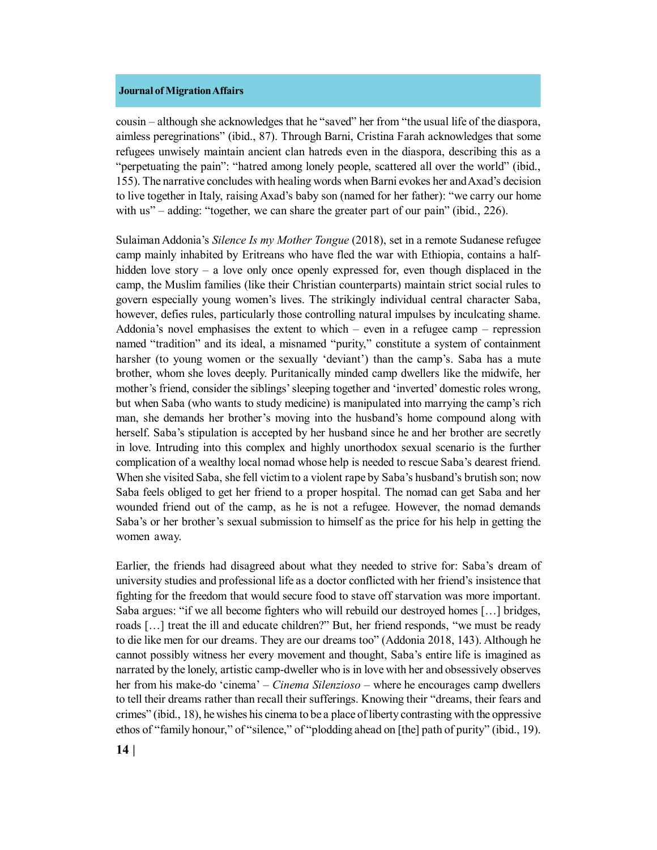cousin – although she acknowledges that he "saved" her from "the usual life of the diaspora, aimless peregrinations" (ibid., 87). Through Barni, Cristina Farah acknowledges that some refugees unwisely maintain ancient clan hatreds even in the diaspora, describing this as a "perpetuating the pain": "hatred among lonely people, scattered all over the world" (ibid., 155). The narrative concludes with healing words when Barni evokes her and Axad's decision to live together in Italy, raising Axad's baby son (named for her father): "we carry our home with us" – adding: "together, we can share the greater part of our pain" (ibid., 226).

Sulaiman Addonia's *Silence Is my Mother Tongue* (2018), set in a remote Sudanese refugee camp mainly inhabited by Eritreans who have fled the war with Ethiopia, contains a halfhidden love story – a love only once openly expressed for, even though displaced in the camp, the Muslim families (like their Christian counterparts) maintain strict social rules to govern especially young women's lives. The strikingly individual central character Saba, however, defies rules, particularly those controlling natural impulses by inculcating shame. Addonia's novel emphasises the extent to which – even in a refugee camp – repression named "tradition" and its ideal, a misnamed "purity," constitute a system of containment harsher (to young women or the sexually 'deviant') than the camp's. Saba has a mute brother, whom she loves deeply. Puritanically minded camp dwellers like the midwife, her mother's friend, consider the siblings' sleeping together and 'inverted' domestic roles wrong, but when Saba (who wants to study medicine) is manipulated into marrying the camp's rich man, she demands her brother's moving into the husband's home compound along with herself. Saba's stipulation is accepted by her husband since he and her brother are secretly in love. Intruding into this complex and highly unorthodox sexual scenario is the further complication of a wealthy local nomad whose help is needed to rescue Saba's dearest friend. When she visited Saba, she fell victim to a violent rape by Saba's husband's brutish son; now Saba feels obliged to get her friend to a proper hospital. The nomad can get Saba and her wounded friend out of the camp, as he is not a refugee. However, the nomad demands Saba's or her brother's sexual submission to himself as the price for his help in getting the women away.

Earlier, the friends had disagreed about what they needed to strive for: Saba's dream of university studies and professional life as a doctor conflicted with her friend's insistence that fighting for the freedom that would secure food to stave off starvation was more important. Saba argues: "if we all become fighters who will rebuild our destroyed homes […] bridges, roads […] treat the ill and educate children?" But, her friend responds, "we must be ready to die like men for our dreams. They are our dreams too" (Addonia 2018, 143). Although he cannot possibly witness her every movement and thought, Saba's entire life is imagined as narrated by the lonely, artistic camp-dweller who is in love with her and obsessively observes her from his make-do 'cinema' – *Cinema Silenzioso* – where he encourages camp dwellers to tell their dreams rather than recall their sufferings. Knowing their "dreams, their fears and crimes" (ibid., 18), he wishes his cinema to be a place of liberty contrasting with the oppressive ethos of "family honour," of "silence," of "plodding ahead on [the] path of purity" (ibid., 19).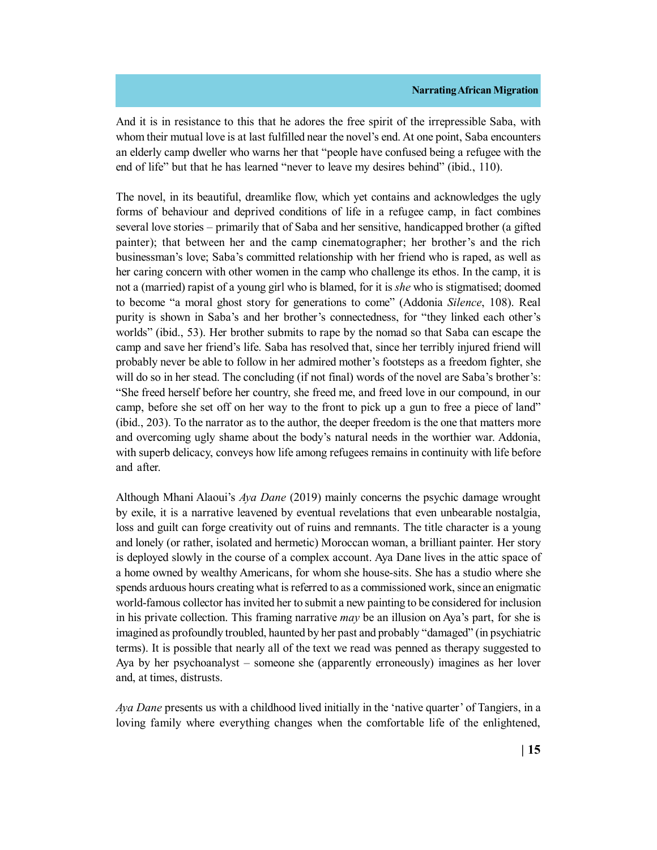And it is in resistance to this that he adores the free spirit of the irrepressible Saba, with whom their mutual love is at last fulfilled near the novel's end. At one point, Saba encounters an elderly camp dweller who warns her that "people have confused being a refugee with the end of life" but that he has learned "never to leave my desires behind" (ibid., 110).

The novel, in its beautiful, dreamlike flow, which yet contains and acknowledges the ugly forms of behaviour and deprived conditions of life in a refugee camp, in fact combines several love stories – primarily that of Saba and her sensitive, handicapped brother (a gifted painter); that between her and the camp cinematographer; her brother's and the rich businessman's love; Saba's committed relationship with her friend who is raped, as well as her caring concern with other women in the camp who challenge its ethos. In the camp, it is not a (married) rapist of a young girl who is blamed, for it is *she* who is stigmatised; doomed to become "a moral ghost story for generations to come" (Addonia *Silence*, 108). Real purity is shown in Saba's and her brother's connectedness, for "they linked each other's worlds" (ibid., 53). Her brother submits to rape by the nomad so that Saba can escape the camp and save her friend's life. Saba has resolved that, since her terribly injured friend will probably never be able to follow in her admired mother's footsteps as a freedom fighter, she will do so in her stead. The concluding (if not final) words of the novel are Saba's brother's: "She freed herself before her country, she freed me, and freed love in our compound, in our camp, before she set off on her way to the front to pick up a gun to free a piece of land" (ibid., 203). To the narrator as to the author, the deeper freedom is the one that matters more and overcoming ugly shame about the body's natural needs in the worthier war. Addonia, with superb delicacy, conveys how life among refugees remains in continuity with life before and after.

Although Mhani Alaoui's *Aya Dane* (2019) mainly concerns the psychic damage wrought by exile, it is a narrative leavened by eventual revelations that even unbearable nostalgia, loss and guilt can forge creativity out of ruins and remnants. The title character is a young and lonely (or rather, isolated and hermetic) Moroccan woman, a brilliant painter. Her story is deployed slowly in the course of a complex account. Aya Dane lives in the attic space of a home owned by wealthy Americans, for whom she house-sits. She has a studio where she spends arduous hours creating what is referred to as a commissioned work, since an enigmatic world-famous collector has invited her to submit a new painting to be considered for inclusion in his private collection. This framing narrative *may* be an illusion on Aya's part, for she is imagined as profoundly troubled, haunted by her past and probably "damaged" (in psychiatric terms). It is possible that nearly all of the text we read was penned as therapy suggested to Aya by her psychoanalyst – someone she (apparently erroneously) imagines as her lover and, at times, distrusts.

*Aya Dane* presents us with a childhood lived initially in the 'native quarter' of Tangiers, in a loving family where everything changes when the comfortable life of the enlightened,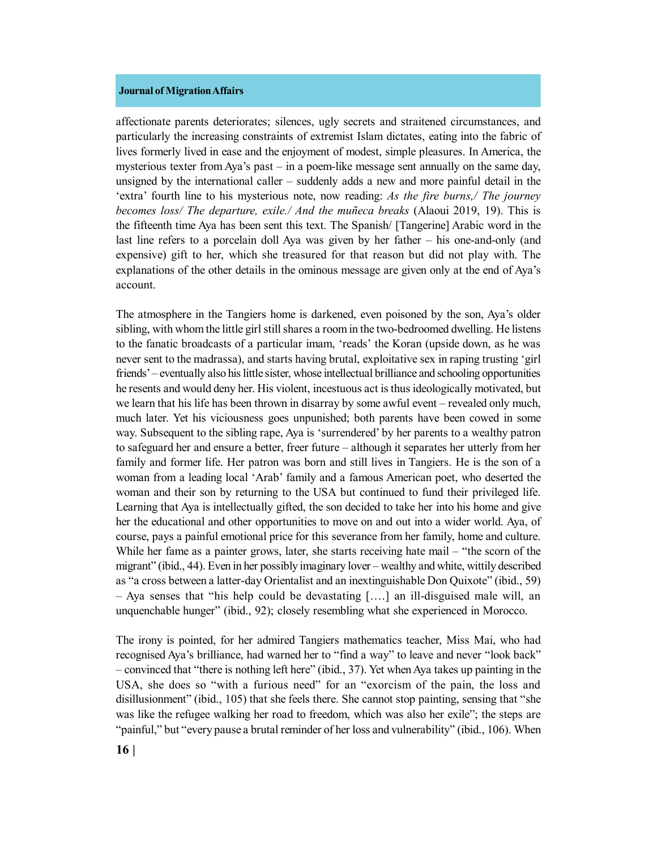affectionate parents deteriorates; silences, ugly secrets and straitened circumstances, and particularly the increasing constraints of extremist Islam dictates, eating into the fabric of lives formerly lived in ease and the enjoyment of modest, simple pleasures. In America, the mysterious texter from Aya's past – in a poem-like message sent annually on the same day, unsigned by the international caller – suddenly adds a new and more painful detail in the 'extra' fourth line to his mysterious note, now reading: *As the fire burns,/ The journey becomes loss/ The departure, exile./ And the muñeca breaks* (Alaoui 2019, 19). This is the fifteenth time Aya has been sent this text. The Spanish/ [Tangerine] Arabic word in the last line refers to a porcelain doll Aya was given by her father – his one-and-only (and expensive) gift to her, which she treasured for that reason but did not play with. The explanations of the other details in the ominous message are given only at the end of Aya's account.

The atmosphere in the Tangiers home is darkened, even poisoned by the son, Aya's older sibling, with whom the little girl still shares a room in the two-bedroomed dwelling. He listens to the fanatic broadcasts of a particular imam, 'reads' the Koran (upside down, as he was never sent to the madrassa), and starts having brutal, exploitative sex in raping trusting 'girl friends' – eventually also his little sister, whose intellectual brilliance and schooling opportunities he resents and would deny her. His violent, incestuous act is thus ideologically motivated, but we learn that his life has been thrown in disarray by some awful event – revealed only much, much later. Yet his viciousness goes unpunished; both parents have been cowed in some way. Subsequent to the sibling rape, Aya is 'surrendered' by her parents to a wealthy patron to safeguard her and ensure a better, freer future – although it separates her utterly from her family and former life. Her patron was born and still lives in Tangiers. He is the son of a woman from a leading local 'Arab' family and a famous American poet, who deserted the woman and their son by returning to the USA but continued to fund their privileged life. Learning that Aya is intellectually gifted, the son decided to take her into his home and give her the educational and other opportunities to move on and out into a wider world. Aya, of course, pays a painful emotional price for this severance from her family, home and culture. While her fame as a painter grows, later, she starts receiving hate mail – "the scorn of the migrant" (ibid., 44). Even in her possibly imaginary lover – wealthy and white, wittily described as "a cross between a latter-day Orientalist and an inextinguishable Don Quixote" (ibid., 59) – Aya senses that "his help could be devastating [….] an ill-disguised male will, an unquenchable hunger" (ibid., 92); closely resembling what she experienced in Morocco.

The irony is pointed, for her admired Tangiers mathematics teacher, Miss Mai, who had recognised Aya's brilliance, had warned her to "find a way" to leave and never "look back" – convinced that "there is nothing left here" (ibid., 37). Yet when Aya takes up painting in the USA, she does so "with a furious need" for an "exorcism of the pain, the loss and disillusionment" (ibid., 105) that she feels there. She cannot stop painting, sensing that "she was like the refugee walking her road to freedom, which was also her exile"; the steps are "painful," but "every pause a brutal reminder of her loss and vulnerability" (ibid., 106). When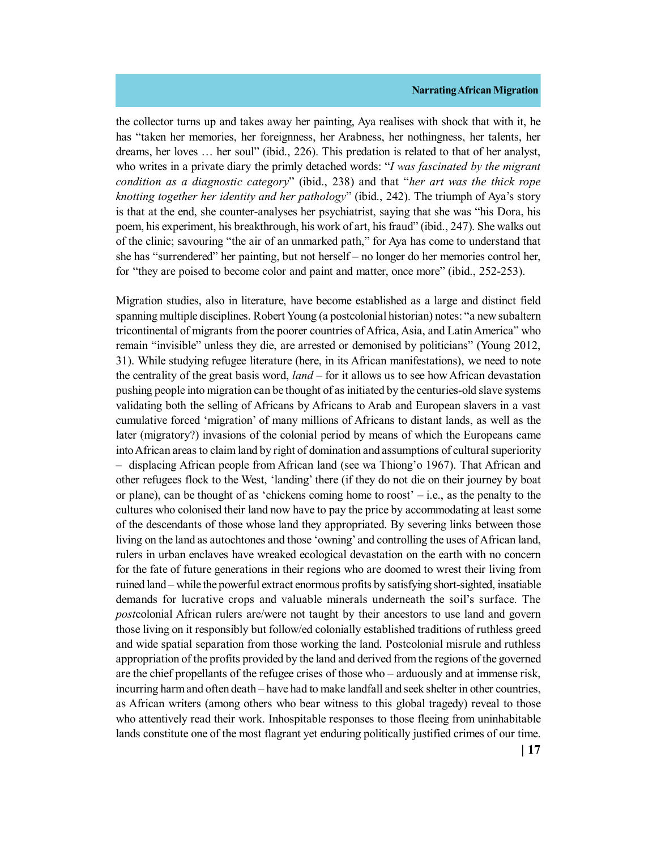the collector turns up and takes away her painting, Aya realises with shock that with it, he has "taken her memories, her foreignness, her Arabness, her nothingness, her talents, her dreams, her loves … her soul" (ibid., 226). This predation is related to that of her analyst, who writes in a private diary the primly detached words: "*I was fascinated by the migrant condition as a diagnostic category*" (ibid., 238) and that "*her art was the thick rope knotting together her identity and her pathology*" (ibid., 242). The triumph of Aya's story is that at the end, she counter-analyses her psychiatrist, saying that she was "his Dora, his poem, his experiment, his breakthrough, his work of art, his fraud" (ibid., 247). She walks out of the clinic; savouring "the air of an unmarked path," for Aya has come to understand that she has "surrendered" her painting, but not herself – no longer do her memories control her, for "they are poised to become color and paint and matter, once more" (ibid., 252-253).

Migration studies, also in literature, have become established as a large and distinct field spanning multiple disciplines. Robert Young (a postcolonial historian) notes: "a new subaltern tricontinental of migrants from the poorer countries of Africa, Asia, and Latin America" who remain "invisible" unless they die, are arrested or demonised by politicians" (Young 2012, 31). While studying refugee literature (here, in its African manifestations), we need to note the centrality of the great basis word, *land* – for it allows us to see how African devastation pushing people into migration can be thought of as initiated by the centuries-old slave systems validating both the selling of Africans by Africans to Arab and European slavers in a vast cumulative forced 'migration' of many millions of Africans to distant lands, as well as the later (migratory?) invasions of the colonial period by means of which the Europeans came into African areas to claim land by right of domination and assumptions of cultural superiority – displacing African people from African land (see wa Thiong'o 1967). That African and other refugees flock to the West, 'landing' there (if they do not die on their journey by boat or plane), can be thought of as 'chickens coming home to roost'  $-$  i.e., as the penalty to the cultures who colonised their land now have to pay the price by accommodating at least some of the descendants of those whose land they appropriated. By severing links between those living on the land as autochtones and those 'owning' and controlling the uses of African land, rulers in urban enclaves have wreaked ecological devastation on the earth with no concern for the fate of future generations in their regions who are doomed to wrest their living from ruined land – while the powerful extract enormous profits by satisfying short-sighted, insatiable demands for lucrative crops and valuable minerals underneath the soil's surface. The *post*colonial African rulers are/were not taught by their ancestors to use land and govern those living on it responsibly but follow/ed colonially established traditions of ruthless greed and wide spatial separation from those working the land. Postcolonial misrule and ruthless appropriation of the profits provided by the land and derived from the regions of the governed are the chief propellants of the refugee crises of those who – arduously and at immense risk, incurring harm and often death – have had to make landfall and seek shelter in other countries, as African writers (among others who bear witness to this global tragedy) reveal to those who attentively read their work. Inhospitable responses to those fleeing from uninhabitable lands constitute one of the most flagrant yet enduring politically justified crimes of our time.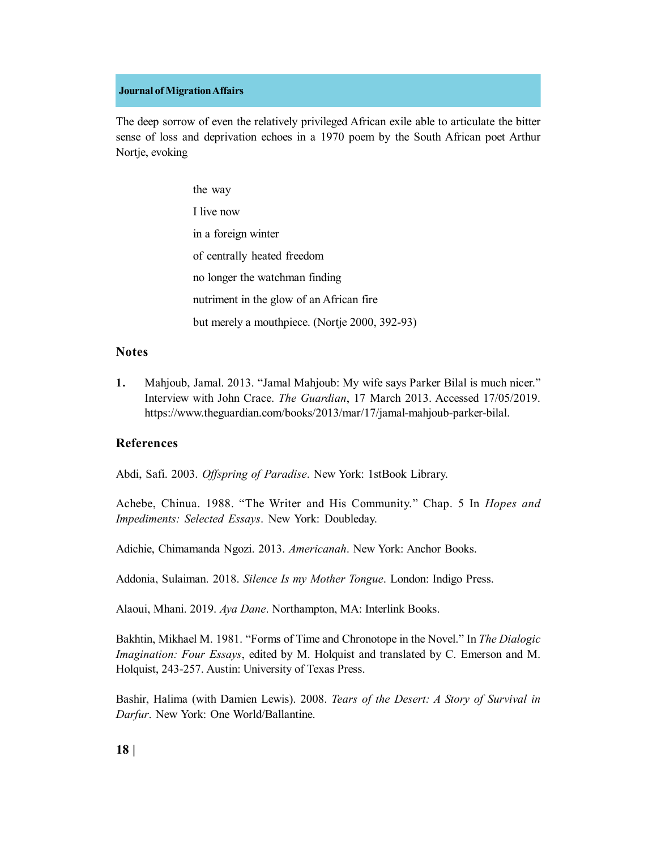The deep sorrow of even the relatively privileged African exile able to articulate the bitter sense of loss and deprivation echoes in a 1970 poem by the South African poet Arthur Nortje, evoking

> the way I live now in a foreign winter of centrally heated freedom no longer the watchman finding nutriment in the glow of an African fire but merely a mouthpiece. (Nortje 2000, 392-93)

# **Notes**

**1.** Mahjoub, Jamal. 2013. "Jamal Mahjoub: My wife says Parker Bilal is much nicer." Interview with John Crace. *The Guardian*, 17 March 2013. Accessed 17/05/2019. https://www.theguardian.com/books/2013/mar/17/jamal-mahjoub-parker-bilal.

## **References**

Abdi, Safi. 2003. *Offspring of Paradise*. New York: 1stBook Library.

Achebe, Chinua. 1988. "The Writer and His Community." Chap. 5 In *Hopes and Impediments: Selected Essays*. New York: Doubleday.

Adichie, Chimamanda Ngozi. 2013. *Americanah*. New York: Anchor Books.

Addonia, Sulaiman. 2018. *Silence Is my Mother Tongue*. London: Indigo Press.

Alaoui, Mhani. 2019. *Aya Dane*. Northampton, MA: Interlink Books.

Bakhtin, Mikhael M. 1981. "Forms of Time and Chronotope in the Novel." In *The Dialogic Imagination: Four Essays*, edited by M. Holquist and translated by C. Emerson and M. Holquist, 243-257. Austin: University of Texas Press.

Bashir, Halima (with Damien Lewis). 2008. *Tears of the Desert: A Story of Survival in Darfur*. New York: One World/Ballantine.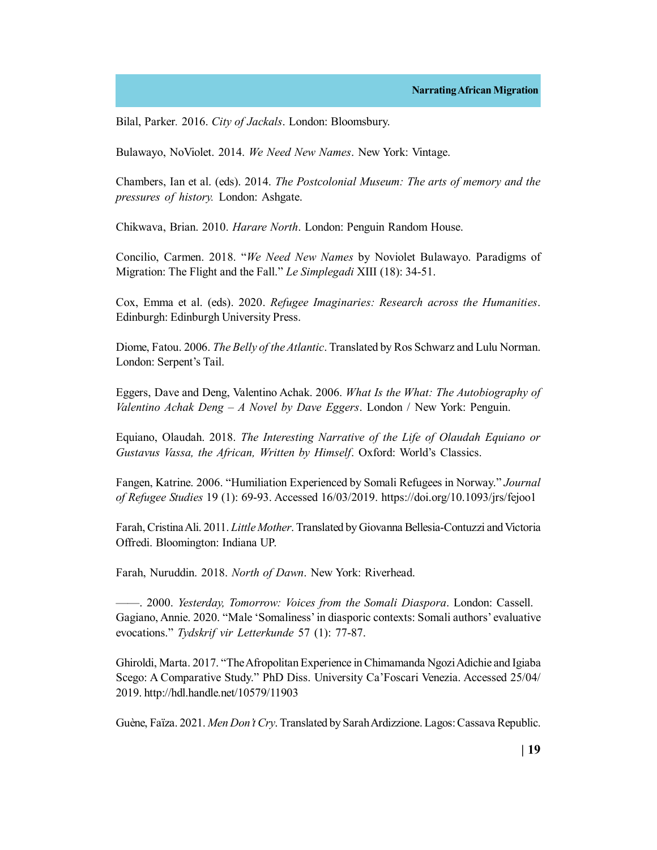Bilal, Parker*.* 2016. *City of Jackals*. London: Bloomsbury.

Bulawayo, NoViolet. 2014. *We Need New Names*. New York: Vintage.

Chambers, Ian et al. (eds). 2014. *The Postcolonial Museum: The arts of memory and the pressures of history.* London: Ashgate.

Chikwava, Brian. 2010. *Harare North*. London: Penguin Random House.

Concilio, Carmen. 2018. "*We Need New Names* by Noviolet Bulawayo. Paradigms of Migration: The Flight and the Fall." *Le Simplegadi* XIII (18): 34-51.

Cox, Emma et al. (eds). 2020. *Refugee Imaginaries: Research across the Humanities*. Edinburgh: Edinburgh University Press.

Diome, Fatou. 2006. *The Belly of the Atlantic*. Translated by Ros Schwarz and Lulu Norman. London: Serpent's Tail.

Eggers, Dave and Deng, Valentino Achak. 2006. *What Is the What: The Autobiography of Valentino Achak Deng – A Novel by Dave Eggers*. London / New York: Penguin.

Equiano, Olaudah. 2018. *The Interesting Narrative of the Life of Olaudah Equiano or Gustavus Vassa, the African, Written by Himself*. Oxford: World's Classics.

Fangen, Katrine. 2006. "Humiliation Experienced by Somali Refugees in Norway." *Journal of Refugee Studies* 19 (1): 69-93. Accessed 16/03/2019. https://doi.org/10.1093/jrs/fejoo1

Farah, Cristina Ali. 2011. *Little Mother*. Translated by Giovanna Bellesia-Contuzzi and Victoria Offredi. Bloomington: Indiana UP.

Farah, Nuruddin. 2018. *North of Dawn*. New York: Riverhead.

——. 2000. *Yesterday, Tomorrow: Voices from the Somali Diaspora*. London: Cassell. Gagiano, Annie. 2020. "Male 'Somaliness' in diasporic contexts: Somali authors' evaluative evocations." *Tydskrif vir Letterkunde* 57 (1): 77-87.

Ghiroldi, Marta. 2017. "The Afropolitan Experience in Chimamanda Ngozi Adichie and Igiaba Scego: A Comparative Study." PhD Diss. University Ca'Foscari Venezia. Accessed 25/04/ 2019. http://hdl.handle.net/10579/11903

Guène, Faïza. 2021. *Men Don't Cry*. Translated by Sarah Ardizzione. Lagos: Cassava Republic.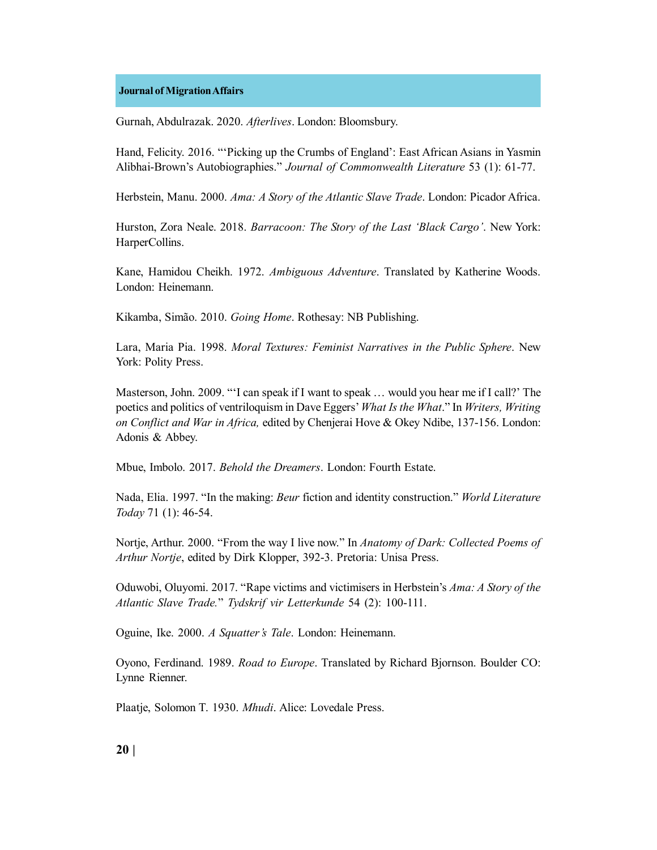Gurnah, Abdulrazak. 2020. *Afterlives*. London: Bloomsbury.

Hand, Felicity. 2016. "'Picking up the Crumbs of England': East African Asians in Yasmin Alibhai-Brown's Autobiographies." *Journal of Commonwealth Literature* 53 (1): 61-77.

Herbstein, Manu. 2000. *Ama: A Story of the Atlantic Slave Trade*. London: Picador Africa.

Hurston, Zora Neale. 2018. *Barracoon: The Story of the Last 'Black Cargo'*. New York: HarperCollins.

Kane, Hamidou Cheikh. 1972. *Ambiguous Adventure*. Translated by Katherine Woods. London: Heinemann.

Kikamba, Simão. 2010. *Going Home*. Rothesay: NB Publishing.

Lara, Maria Pia. 1998. *Moral Textures: Feminist Narratives in the Public Sphere*. New York: Polity Press.

Masterson, John. 2009. "'I can speak if I want to speak … would you hear me if I call?' The poetics and politics of ventriloquism in Dave Eggers' *What Is the What*." In *Writers, Writing on Conflict and War in Africa,* edited by Chenjerai Hove & Okey Ndibe, 137-156. London: Adonis & Abbey.

Mbue, Imbolo. 2017. *Behold the Dreamers*. London: Fourth Estate.

Nada, Elia. 1997. "In the making: *Beur* fiction and identity construction." *World Literature Today* 71 (1): 46-54.

Nortje, Arthur. 2000. "From the way I live now." In *Anatomy of Dark: Collected Poems of Arthur Nortje*, edited by Dirk Klopper, 392-3. Pretoria: Unisa Press.

Oduwobi, Oluyomi. 2017. "Rape victims and victimisers in Herbstein's *Ama: A Story of the Atlantic Slave Trade.*" *Tydskrif vir Letterkunde* 54 (2): 100-111.

Oguine, Ike. 2000. *A Squatter's Tale*. London: Heinemann.

Oyono, Ferdinand. 1989. *Road to Europe*. Translated by Richard Bjornson. Boulder CO: Lynne Rienner.

Plaatje, Solomon T. 1930. *Mhudi*. Alice: Lovedale Press.

**20 |**